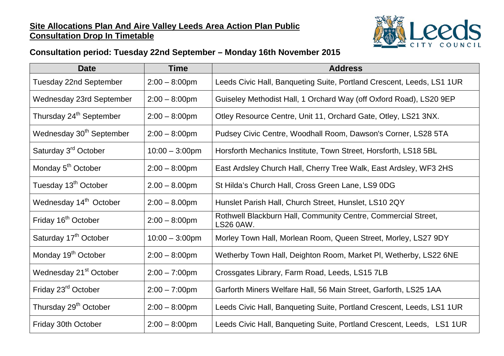## **Site Allocations Plan And Aire Valley Leeds Area Action Plan Public Consultation Drop In Timetable**



## **Consultation period: Tuesday 22nd September – Monday 16th November 2015**

| <b>Date</b>                          | <b>Time</b>       | <b>Address</b>                                                             |
|--------------------------------------|-------------------|----------------------------------------------------------------------------|
| <b>Tuesday 22nd September</b>        | $2:00 - 8:00$ pm  | Leeds Civic Hall, Banqueting Suite, Portland Crescent, Leeds, LS1 1UR      |
| <b>Wednesday 23rd September</b>      | $2:00 - 8:00$ pm  | Guiseley Methodist Hall, 1 Orchard Way (off Oxford Road), LS20 9EP         |
| Thursday 24 <sup>th</sup> September  | $2:00 - 8:00$ pm  | Otley Resource Centre, Unit 11, Orchard Gate, Otley, LS21 3NX.             |
| Wednesday 30 <sup>th</sup> September | $2:00 - 8:00$ pm  | Pudsey Civic Centre, Woodhall Room, Dawson's Corner, LS28 5TA              |
| Saturday 3 <sup>rd</sup> October     | $10:00 - 3:00$ pm | Horsforth Mechanics Institute, Town Street, Horsforth, LS18 5BL            |
| Monday 5 <sup>th</sup> October       | $2:00 - 8:00$ pm  | East Ardsley Church Hall, Cherry Tree Walk, East Ardsley, WF3 2HS          |
| Tuesday 13 <sup>th</sup> October     | $2.00 - 8.00$ pm  | St Hilda's Church Hall, Cross Green Lane, LS9 0DG                          |
| Wednesday 14 <sup>th</sup> October   | $2:00 - 8.00$ pm  | Hunslet Parish Hall, Church Street, Hunslet, LS10 2QY                      |
| Friday 16 <sup>th</sup> October      | $2:00 - 8:00$ pm  | Rothwell Blackburn Hall, Community Centre, Commercial Street,<br>LS26 0AW. |
| Saturday 17 <sup>th</sup> October    | $10:00 - 3:00$ pm | Morley Town Hall, Morlean Room, Queen Street, Morley, LS27 9DY             |
| Monday 19 <sup>th</sup> October      | $2:00 - 8:00$ pm  | Wetherby Town Hall, Deighton Room, Market PI, Wetherby, LS22 6NE           |
| Wednesday 21 <sup>st</sup> October   | $2:00 - 7:00$ pm  | Crossgates Library, Farm Road, Leeds, LS15 7LB                             |
| Friday 23 <sup>rd</sup> October      | $2:00 - 7:00$ pm  | Garforth Miners Welfare Hall, 56 Main Street, Garforth, LS25 1AA           |
| Thursday 29 <sup>th</sup> October    | $2:00 - 8:00$ pm  | Leeds Civic Hall, Banqueting Suite, Portland Crescent, Leeds, LS1 1UR      |
| Friday 30th October                  | $2:00 - 8:00$ pm  | Leeds Civic Hall, Banqueting Suite, Portland Crescent, Leeds, LS1 1UR      |